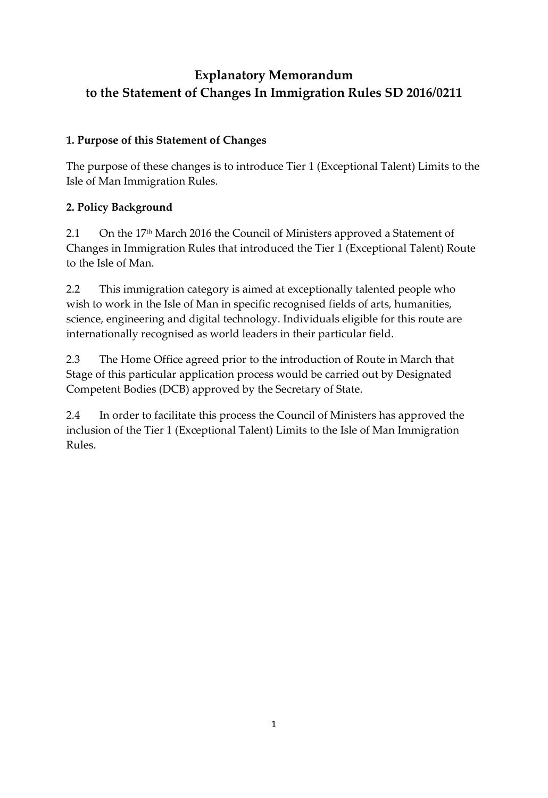## **Explanatory Memorandum to the Statement of Changes In Immigration Rules SD 2016/0211**

## **1. Purpose of this Statement of Changes**

The purpose of these changes is to introduce Tier 1 (Exceptional Talent) Limits to the Isle of Man Immigration Rules.

## **2. Policy Background**

2.1 On the 17<sup>th</sup> March 2016 the Council of Ministers approved a Statement of Changes in Immigration Rules that introduced the Tier 1 (Exceptional Talent) Route to the Isle of Man.

2.2 This immigration category is aimed at exceptionally talented people who wish to work in the Isle of Man in specific recognised fields of arts, humanities, science, engineering and digital technology. Individuals eligible for this route are internationally recognised as world leaders in their particular field.

2.3 The Home Office agreed prior to the introduction of Route in March that Stage of this particular application process would be carried out by Designated Competent Bodies (DCB) approved by the Secretary of State.

2.4 In order to facilitate this process the Council of Ministers has approved the inclusion of the Tier 1 (Exceptional Talent) Limits to the Isle of Man Immigration Rules.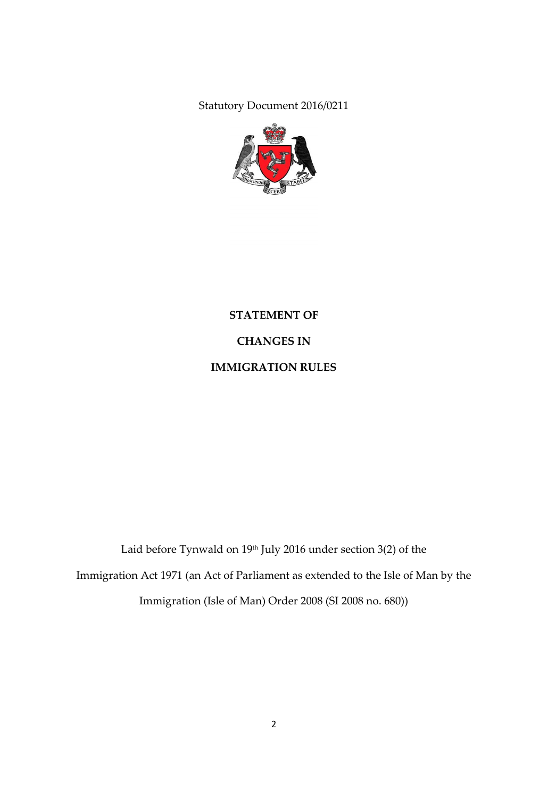Statutory Document 2016/0211



# **STATEMENT OF CHANGES IN**

**IMMIGRATION RULES**

Laid before Tynwald on  $19<sup>th</sup>$  July 2016 under section 3(2) of the Immigration Act 1971 (an Act of Parliament as extended to the Isle of Man by the Immigration (Isle of Man) Order 2008 (SI 2008 no. 680))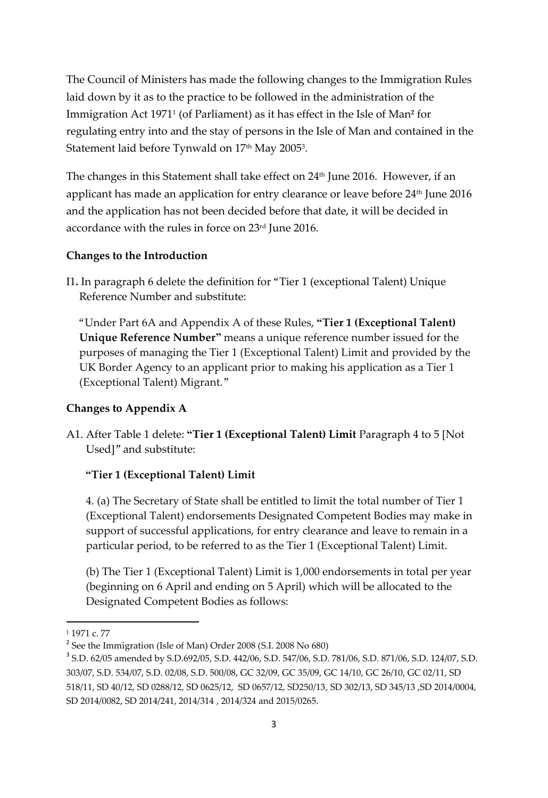The Council of Ministers has made the following changes to the Immigration Rules laid down by it as to the practice to be followed in the administration of the Immigration Act 1971<sup>1</sup> (of Parliament) as it has effect in the Isle of Man**<sup>2</sup>** for regulating entry into and the stay of persons in the Isle of Man and contained in the Statement laid before Tynwald on  $17^{\rm th}$  May 2005 $^{\rm 3}$ .

The changes in this Statement shall take effect on 24th June 2016. However, if an applicant has made an application for entry clearance or leave before 24<sup>th</sup> June 2016 and the application has not been decided before that date, it will be decided in accordance with the rules in force on 23rd June 2016.

### **Changes to the Introduction**

I1**.** In paragraph 6 delete the definition for "Tier 1 (exceptional Talent) Unique Reference Number and substitute:

"Under Part 6A and Appendix A of these Rules, **"Tier 1 (Exceptional Talent) Unique Reference Number"** means a unique reference number issued for the purposes of managing the Tier 1 (Exceptional Talent) Limit and provided by the UK Border Agency to an applicant prior to making his application as a Tier 1 (Exceptional Talent) Migrant."

### **Changes to Appendix A**

A1. After Table 1 delete: **"Tier 1 (Exceptional Talent) Limit** Paragraph 4 to 5 [Not Used]" and substitute:

#### **"Tier 1 (Exceptional Talent) Limit**

4. (a) The Secretary of State shall be entitled to limit the total number of Tier 1 (Exceptional Talent) endorsements Designated Competent Bodies may make in support of successful applications, for entry clearance and leave to remain in a particular period, to be referred to as the Tier 1 (Exceptional Talent) Limit.

(b) The Tier 1 (Exceptional Talent) Limit is 1,000 endorsements in total per year (beginning on 6 April and ending on 5 April) which will be allocated to the Designated Competent Bodies as follows:

 $\overline{\phantom{a}}$ 

<sup>1</sup> 1971 c. 77

<sup>&</sup>lt;sup>2</sup> See the Immigration (Isle of Man) Order 2008 (S.I. 2008 No 680)

<sup>3</sup> S.D. 62/05 amended by S.D.692/05, S.D. 442/06, S.D. 547/06, S.D. 781/06, S.D. 871/06, S.D. 124/07, S.D. 303/07, S.D. 534/07, S.D. 02/08, S.D. 500/08, GC 32/09, GC 35/09, GC 14/10, GC 26/10, GC 02/11, SD 518/11, SD 40/12, SD 0288/12, SD 0625/12, SD 0657/12, SD250/13, SD 302/13, SD 345/13 ,SD 2014/0004, SD 2014/0082, SD 2014/241, 2014/314 , 2014/324 and 2015/0265.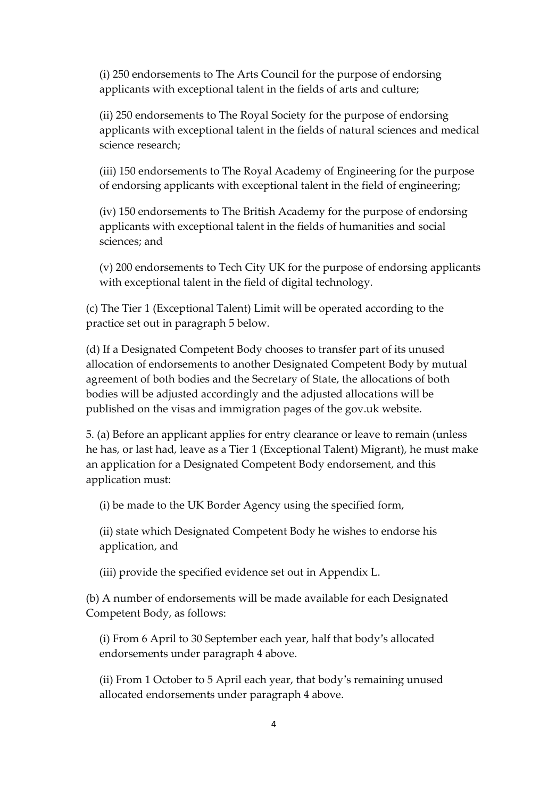(i) 250 endorsements to The Arts Council for the purpose of endorsing applicants with exceptional talent in the fields of arts and culture;

(ii) 250 endorsements to The Royal Society for the purpose of endorsing applicants with exceptional talent in the fields of natural sciences and medical science research;

(iii) 150 endorsements to The Royal Academy of Engineering for the purpose of endorsing applicants with exceptional talent in the field of engineering;

(iv) 150 endorsements to The British Academy for the purpose of endorsing applicants with exceptional talent in the fields of humanities and social sciences; and

(v) 200 endorsements to Tech City UK for the purpose of endorsing applicants with exceptional talent in the field of digital technology.

(c) The Tier 1 (Exceptional Talent) Limit will be operated according to the practice set out in paragraph 5 below.

(d) If a Designated Competent Body chooses to transfer part of its unused allocation of endorsements to another Designated Competent Body by mutual agreement of both bodies and the Secretary of State, the allocations of both bodies will be adjusted accordingly and the adjusted allocations will be published on the visas and immigration pages of the gov.uk website.

5. (a) Before an applicant applies for entry clearance or leave to remain (unless he has, or last had, leave as a Tier 1 (Exceptional Talent) Migrant), he must make an application for a Designated Competent Body endorsement, and this application must:

(i) be made to the UK Border Agency using the specified form,

(ii) state which Designated Competent Body he wishes to endorse his application, and

(iii) provide the specified evidence set out in Appendix L.

(b) A number of endorsements will be made available for each Designated Competent Body, as follows:

(i) From 6 April to 30 September each year, half that body's allocated endorsements under paragraph 4 above.

(ii) From 1 October to 5 April each year, that body's remaining unused allocated endorsements under paragraph 4 above.